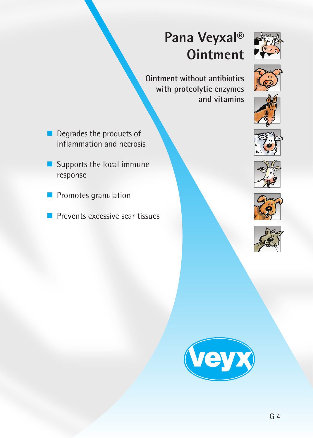# **Pana Veyxal® Ointment**



**Ointment without antibiotics with proteolytic enzymes and vitamins**

- Degrades the products of inflammation and necrosis
- Supports the local immune response
- Promotes granulation
- Prevents excessive scar tissues











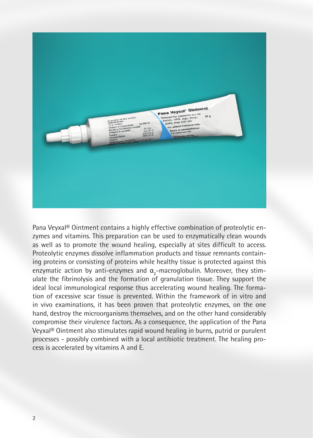

Pana Veyxal® Ointment contains a highly effective combination of proteolytic enzymes and vitamins. This preparation can be used to enzymatically clean wounds as well as to promote the wound healing, especially at sites difficult to access. Proteolytic enzymes dissolve inflammation products and tissue remnants containing proteins or consisting of proteins while healthy tissue is protected against this enzymatic action by anti-enzymes and  $\alpha_{2}$ -macroglobulin. Moreover, they stimulate the fibrinolysis and the formation of granulation tissue. They support the ideal local immunological response thus accelerating wound healing. The formation of excessive scar tissue is prevented. Within the framework of in vitro and in vivo examinations, it has been proven that proteolytic enzymes, on the one hand, destroy the microorganisms themselves, and on the other hand considerably compromise their virulence factors. As a consequence, the application of the Pana Veyxal® Ointment also stimulates rapid wound healing in burns, putrid or purulent processes - possibly combined with a local antibiotic treatment. The healing process is accelerated by vitamins A and E.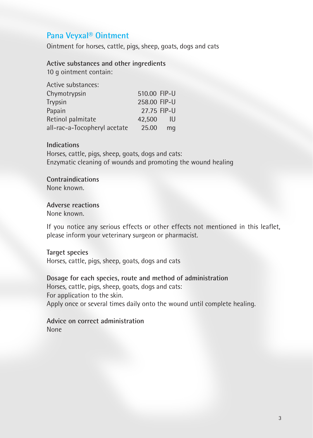## **Pana Veyxal® Ointment**

Ointment for horses, cattle, pigs, sheep, goats, dogs and cats

**Active substances and other ingredients**

10 g ointment contain:

| Active substances:           |              |    |
|------------------------------|--------------|----|
| Chymotrypsin                 | 510.00 FIP-U |    |
| Trypsin                      | 258.00 FIP-U |    |
| Papain                       | 27.75 FIP-U  |    |
| Retinol palmitate            | 42.500       | IU |
| all-rac-a-Tocopheryl acetate | 25.00        | mq |

#### **Indications**

Horses, cattle, pigs, sheep, goats, dogs and cats: Enzymatic cleaning of wounds and promoting the wound healing

**Contraindications** None known.

### **Adverse reactions**

None known.

If you notice any serious effects or other effects not mentioned in this leaflet, please inform your veterinary surgeon or pharmacist.

#### **Target species**

Horses, cattle, pigs, sheep, goats, dogs and cats

**Dosage for each species, route and method of administration** Horses, cattle, pigs, sheep, goats, dogs and cats: For application to the skin. Apply once or several times daily onto the wound until complete healing.

**Advice on correct administration** None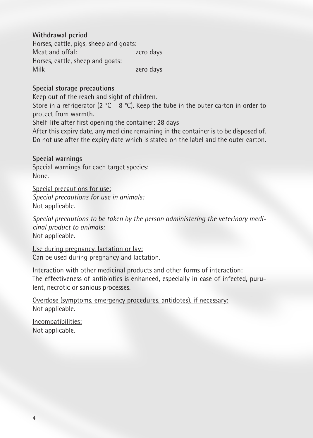**Withdrawal period**

Horses, cattle, pigs, sheep and goats: Meat and offal:  $\sqrt{2}$  zero days Horses, cattle, sheep and goats: Milk zero days

### **Special storage precautions**

Keep out of the reach and sight of children.

Store in a refrigerator (2 °C – 8 °C). Keep the tube in the outer carton in order to protect from warmth.

Shelf-life after first opening the container: 28 days

After this expiry date, any medicine remaining in the container is to be disposed of. Do not use after the expiry date which is stated on the label and the outer carton.

**Special warnings** Special warnings for each target species: None.

Special precautions for use: *Special precautions for use in animals:* Not applicable.

*Special precautions to be taken by the person administering the veterinary medicinal product to animals:* Not applicable.

Use during pregnancy, lactation or lay: Can be used during pregnancy and lactation.

Interaction with other medicinal products and other forms of interaction: The effectiveness of antibiotics is enhanced, especially in case of infected, purulent, necrotic or sanious processes.

Overdose (symptoms, emergency procedures, antidotes), if necessary: Not applicable.

Incompatibilities: Not applicable.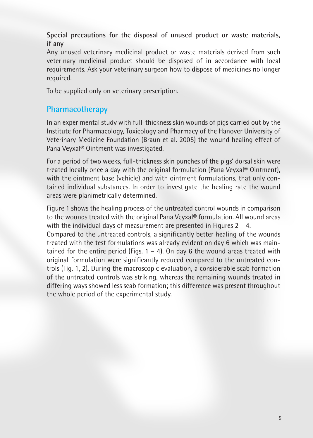**Special precautions for the disposal of unused product or waste materials, if any**

Any unused veterinary medicinal product or waste materials derived from such veterinary medicinal product should be disposed of in accordance with local requirements. Ask your veterinary surgeon how to dispose of medicines no longer required.

To be supplied only on veterinary prescription.

## **Pharmacotherapy**

In an experimental study with full-thickness skin wounds of pigs carried out by the Institute for Pharmacology, Toxicology and Pharmacy of the Hanover University of Veterinary Medicine Foundation (Braun et al. 2005) the wound healing effect of Pana Veyxal® Ointment was investigated.

For a period of two weeks, full-thickness skin punches of the pigs' dorsal skin were treated locally once a day with the original formulation (Pana Veyxal® Ointment), with the ointment base (vehicle) and with ointment formulations, that only contained individual substances. In order to investigate the healing rate the wound areas were planimetrically determined.

Figure 1 shows the healing process of the untreated control wounds in comparison to the wounds treated with the original Pana Veyxal® formulation. All wound areas with the individual days of measurement are presented in Figures 2 – 4.

Compared to the untreated controls, a significantly better healing of the wounds treated with the test formulations was already evident on day 6 which was maintained for the entire period (Figs.  $1 - 4$ ). On day 6 the wound areas treated with original formulation were significantly reduced compared to the untreated controls (Fig. 1, 2). During the macroscopic evaluation, a considerable scab formation of the untreated controls was striking, whereas the remaining wounds treated in differing ways showed less scab formation; this difference was present throughout the whole period of the experimental study.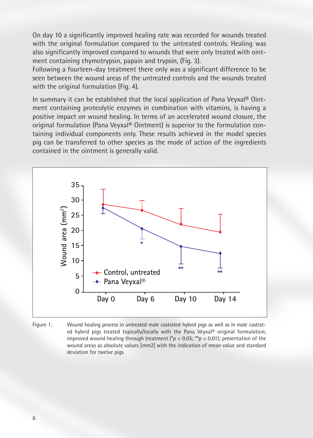On day 10 a significantly improved healing rate was recorded for wounds treated with the original formulation compared to the untreated controls. Healing was also significantly improved compared to wounds that were only treated with ointment containing chymotrypsin, papain and trypsin, (Fig. 3).

Following a fourteen-day treatment there only was a significant difference to be seen between the wound areas of the untreated controls and the wounds treated with the original formulation (Fig. 4).

In summary it can be established that the local application of Pana Veyxal® Ointment containing proteolytic enzymes in combination with vitamins, is having a positive impact on wound healing. In terms of an accelerated wound closure, the original formulation (Pana Veyxal® Ointment) is superior to the formulation containing individual components only. These results achieved in the model species pig can be transferred to other species as the mode of action of the ingredients contained in the ointment is generally valid.



Figure 1: Wound healing process in untreated male castrated hybrid pigs as well as in male castrated hybrid pigs treated topically/locally with the Pana Veyxal® original formulation; improved wound healing through treatment ( $p < 0.05$ ; \*\*p < 0.01); presentation of the wound areas as absolute values [mm2] with the indication of mean value and standard deviation for twelve pigs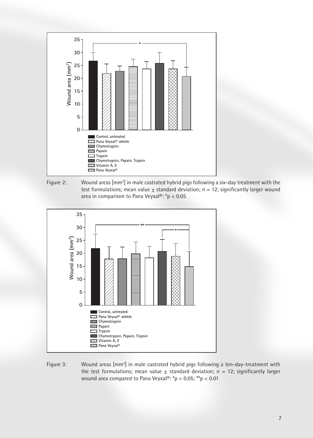





Figure 3: Wound areas [mm<sup>2</sup>] in male castrated hybrid pigs following a ten-day-treatment with the test formulations; mean value  $\pm$  standard deviation; n = 12; significantly larger wound area compared to Pana Veyxal®: \*p < 0.05; \*\*p < 0.01